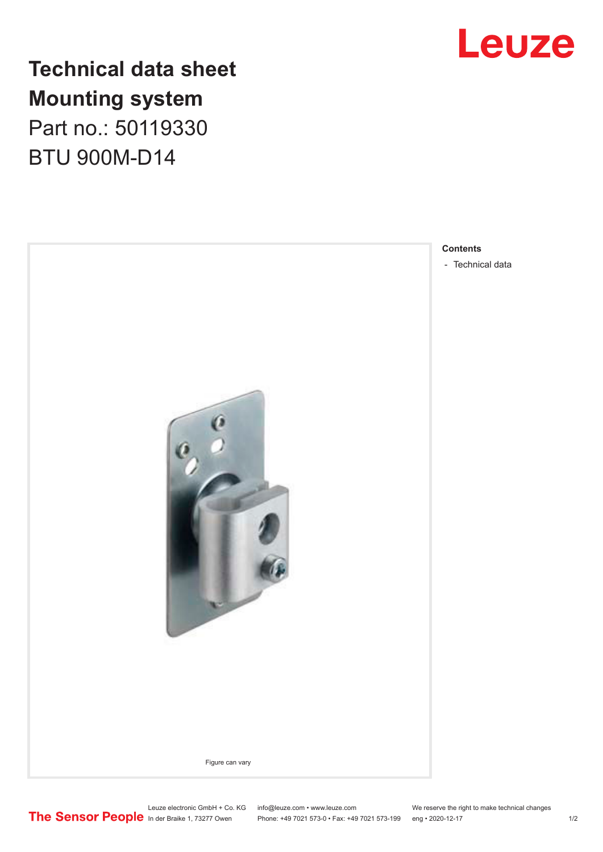

## **Technical data sheet Mounting system**

Part no.: 50119330 BTU 900M-D14



**Contents**

In der Braike 1, 73277 Owen Phone: +49 7021 573-0 • Fax: +49 7021 573-199 eng • 2020-12-17 1 /2

Leuze electronic GmbH + Co. KG info@leuze.com • www.leuze.com We reserve the right to make technical changes